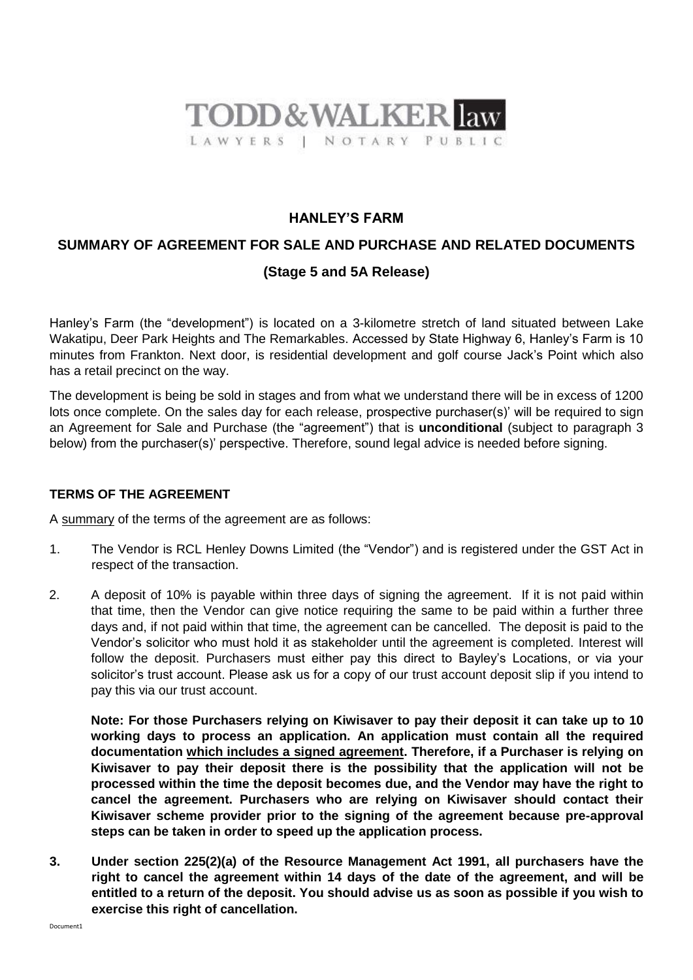

# **HANLEY'S FARM**

# **SUMMARY OF AGREEMENT FOR SALE AND PURCHASE AND RELATED DOCUMENTS (Stage 5 and 5A Release)**

Hanley's Farm (the "development") is located on a 3-kilometre stretch of land situated between Lake Wakatipu, Deer Park Heights and The Remarkables. Accessed by State Highway 6, Hanley's Farm is 10 minutes from Frankton. Next door, is residential development and golf course Jack's Point which also has a retail precinct on the way.

The development is being be sold in stages and from what we understand there will be in excess of 1200 lots once complete. On the sales day for each release, prospective purchaser(s)' will be required to sign an Agreement for Sale and Purchase (the "agreement") that is **unconditional** (subject to paragraph 3 below) from the purchaser(s)' perspective. Therefore, sound legal advice is needed before signing.

# **TERMS OF THE AGREEMENT**

A summary of the terms of the agreement are as follows:

- 1. The Vendor is RCL Henley Downs Limited (the "Vendor") and is registered under the GST Act in respect of the transaction.
- 2. A deposit of 10% is payable within three days of signing the agreement. If it is not paid within that time, then the Vendor can give notice requiring the same to be paid within a further three days and, if not paid within that time, the agreement can be cancelled. The deposit is paid to the Vendor's solicitor who must hold it as stakeholder until the agreement is completed. Interest will follow the deposit. Purchasers must either pay this direct to Bayley's Locations, or via your solicitor's trust account. Please ask us for a copy of our trust account deposit slip if you intend to pay this via our trust account.

**Note: For those Purchasers relying on Kiwisaver to pay their deposit it can take up to 10 working days to process an application. An application must contain all the required documentation which includes a signed agreement. Therefore, if a Purchaser is relying on Kiwisaver to pay their deposit there is the possibility that the application will not be processed within the time the deposit becomes due, and the Vendor may have the right to cancel the agreement. Purchasers who are relying on Kiwisaver should contact their Kiwisaver scheme provider prior to the signing of the agreement because pre-approval steps can be taken in order to speed up the application process.**

**3. Under section 225(2)(a) of the Resource Management Act 1991, all purchasers have the right to cancel the agreement within 14 days of the date of the agreement, and will be entitled to a return of the deposit. You should advise us as soon as possible if you wish to exercise this right of cancellation.**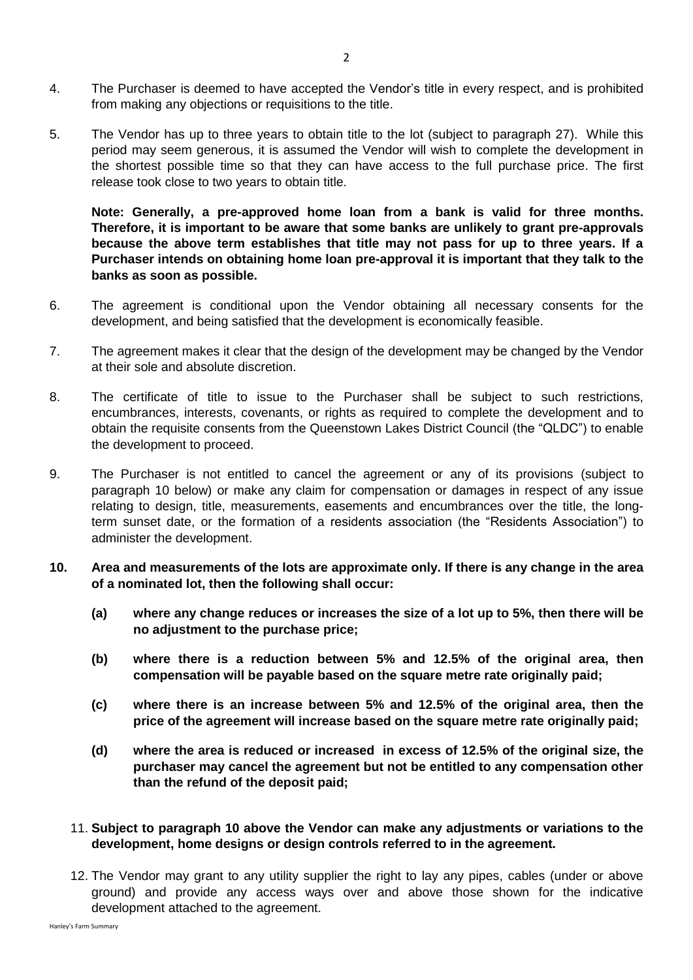- 4. The Purchaser is deemed to have accepted the Vendor's title in every respect, and is prohibited from making any objections or requisitions to the title.
- 5. The Vendor has up to three years to obtain title to the lot (subject to paragraph 27). While this period may seem generous, it is assumed the Vendor will wish to complete the development in the shortest possible time so that they can have access to the full purchase price. The first release took close to two years to obtain title.

**Note: Generally, a pre-approved home loan from a bank is valid for three months. Therefore, it is important to be aware that some banks are unlikely to grant pre-approvals because the above term establishes that title may not pass for up to three years. If a Purchaser intends on obtaining home loan pre-approval it is important that they talk to the banks as soon as possible.**

- 6. The agreement is conditional upon the Vendor obtaining all necessary consents for the development, and being satisfied that the development is economically feasible.
- 7. The agreement makes it clear that the design of the development may be changed by the Vendor at their sole and absolute discretion.
- 8. The certificate of title to issue to the Purchaser shall be subject to such restrictions, encumbrances, interests, covenants, or rights as required to complete the development and to obtain the requisite consents from the Queenstown Lakes District Council (the "QLDC") to enable the development to proceed.
- 9. The Purchaser is not entitled to cancel the agreement or any of its provisions (subject to paragraph 10 below) or make any claim for compensation or damages in respect of any issue relating to design, title, measurements, easements and encumbrances over the title, the longterm sunset date, or the formation of a residents association (the "Residents Association") to administer the development.
- **10. Area and measurements of the lots are approximate only. If there is any change in the area of a nominated lot, then the following shall occur:**
	- **(a) where any change reduces or increases the size of a lot up to 5%, then there will be no adjustment to the purchase price;**
	- **(b) where there is a reduction between 5% and 12.5% of the original area, then compensation will be payable based on the square metre rate originally paid;**
	- **(c) where there is an increase between 5% and 12.5% of the original area, then the price of the agreement will increase based on the square metre rate originally paid;**
	- **(d) where the area is reduced or increased in excess of 12.5% of the original size, the purchaser may cancel the agreement but not be entitled to any compensation other than the refund of the deposit paid;**
	- 11. **Subject to paragraph 10 above the Vendor can make any adjustments or variations to the development, home designs or design controls referred to in the agreement.**
	- 12. The Vendor may grant to any utility supplier the right to lay any pipes, cables (under or above ground) and provide any access ways over and above those shown for the indicative development attached to the agreement.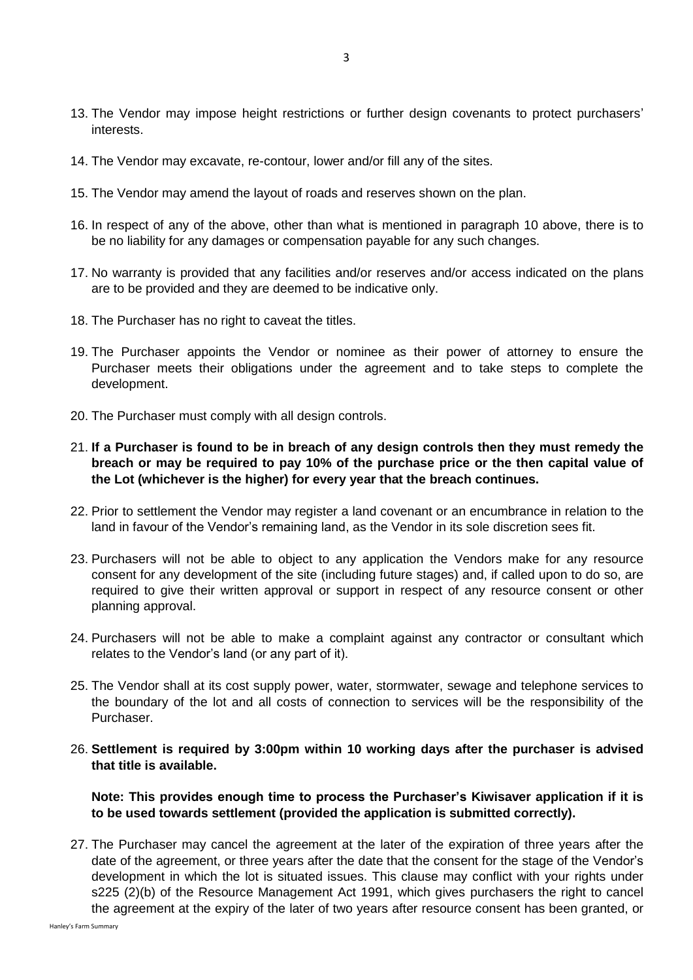- 13. The Vendor may impose height restrictions or further design covenants to protect purchasers' interests.
- 14. The Vendor may excavate, re-contour, lower and/or fill any of the sites.
- 15. The Vendor may amend the layout of roads and reserves shown on the plan.
- 16. In respect of any of the above, other than what is mentioned in paragraph 10 above, there is to be no liability for any damages or compensation payable for any such changes.
- 17. No warranty is provided that any facilities and/or reserves and/or access indicated on the plans are to be provided and they are deemed to be indicative only.
- 18. The Purchaser has no right to caveat the titles.
- 19. The Purchaser appoints the Vendor or nominee as their power of attorney to ensure the Purchaser meets their obligations under the agreement and to take steps to complete the development.
- 20. The Purchaser must comply with all design controls.
- 21. **If a Purchaser is found to be in breach of any design controls then they must remedy the breach or may be required to pay 10% of the purchase price or the then capital value of the Lot (whichever is the higher) for every year that the breach continues.**
- 22. Prior to settlement the Vendor may register a land covenant or an encumbrance in relation to the land in favour of the Vendor's remaining land, as the Vendor in its sole discretion sees fit.
- 23. Purchasers will not be able to object to any application the Vendors make for any resource consent for any development of the site (including future stages) and, if called upon to do so, are required to give their written approval or support in respect of any resource consent or other planning approval.
- 24. Purchasers will not be able to make a complaint against any contractor or consultant which relates to the Vendor's land (or any part of it).
- 25. The Vendor shall at its cost supply power, water, stormwater, sewage and telephone services to the boundary of the lot and all costs of connection to services will be the responsibility of the Purchaser.
- 26. **Settlement is required by 3:00pm within 10 working days after the purchaser is advised that title is available.**

**Note: This provides enough time to process the Purchaser's Kiwisaver application if it is to be used towards settlement (provided the application is submitted correctly).**

27. The Purchaser may cancel the agreement at the later of the expiration of three years after the date of the agreement, or three years after the date that the consent for the stage of the Vendor's development in which the lot is situated issues. This clause may conflict with your rights under s225 (2)(b) of the Resource Management Act 1991, which gives purchasers the right to cancel the agreement at the expiry of the later of two years after resource consent has been granted, or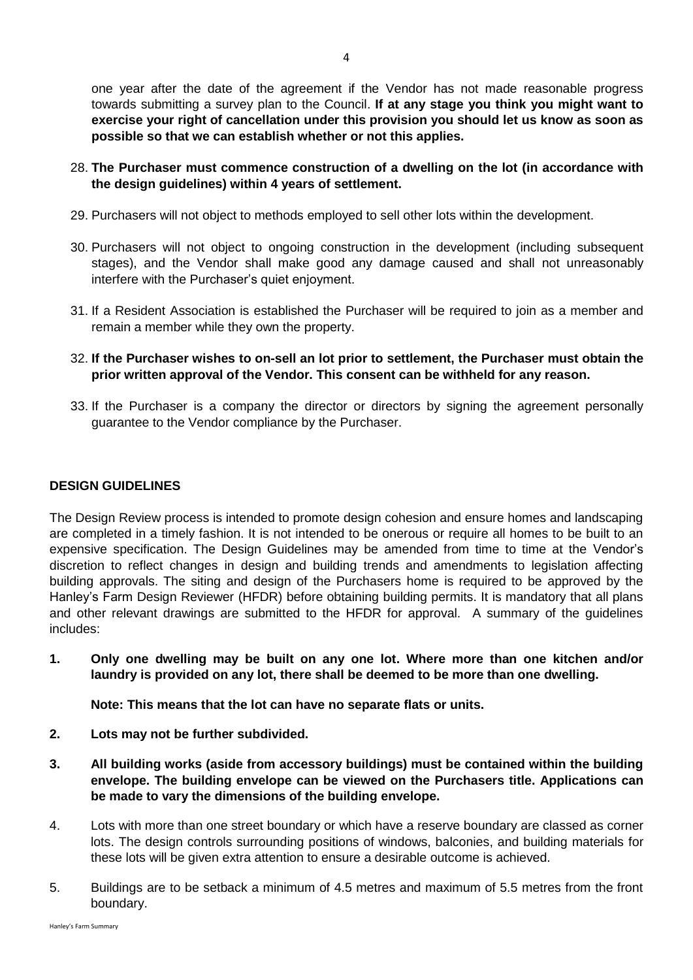one year after the date of the agreement if the Vendor has not made reasonable progress towards submitting a survey plan to the Council. **If at any stage you think you might want to exercise your right of cancellation under this provision you should let us know as soon as possible so that we can establish whether or not this applies.** 

- 28. **The Purchaser must commence construction of a dwelling on the lot (in accordance with the design guidelines) within 4 years of settlement.**
- 29. Purchasers will not object to methods employed to sell other lots within the development.
- 30. Purchasers will not object to ongoing construction in the development (including subsequent stages), and the Vendor shall make good any damage caused and shall not unreasonably interfere with the Purchaser's quiet enjoyment.
- 31. If a Resident Association is established the Purchaser will be required to join as a member and remain a member while they own the property.
- 32. **If the Purchaser wishes to on-sell an lot prior to settlement, the Purchaser must obtain the prior written approval of the Vendor. This consent can be withheld for any reason.**
- 33. If the Purchaser is a company the director or directors by signing the agreement personally guarantee to the Vendor compliance by the Purchaser.

## **DESIGN GUIDELINES**

The Design Review process is intended to promote design cohesion and ensure homes and landscaping are completed in a timely fashion. It is not intended to be onerous or require all homes to be built to an expensive specification. The Design Guidelines may be amended from time to time at the Vendor's discretion to reflect changes in design and building trends and amendments to legislation affecting building approvals. The siting and design of the Purchasers home is required to be approved by the Hanley's Farm Design Reviewer (HFDR) before obtaining building permits. It is mandatory that all plans and other relevant drawings are submitted to the HFDR for approval. A summary of the guidelines includes:

**1. Only one dwelling may be built on any one lot. Where more than one kitchen and/or laundry is provided on any lot, there shall be deemed to be more than one dwelling.**

**Note: This means that the lot can have no separate flats or units.**

- **2. Lots may not be further subdivided.**
- **3. All building works (aside from accessory buildings) must be contained within the building envelope. The building envelope can be viewed on the Purchasers title. Applications can be made to vary the dimensions of the building envelope.**
- 4. Lots with more than one street boundary or which have a reserve boundary are classed as corner lots. The design controls surrounding positions of windows, balconies, and building materials for these lots will be given extra attention to ensure a desirable outcome is achieved.
- 5. Buildings are to be setback a minimum of 4.5 metres and maximum of 5.5 metres from the front boundary.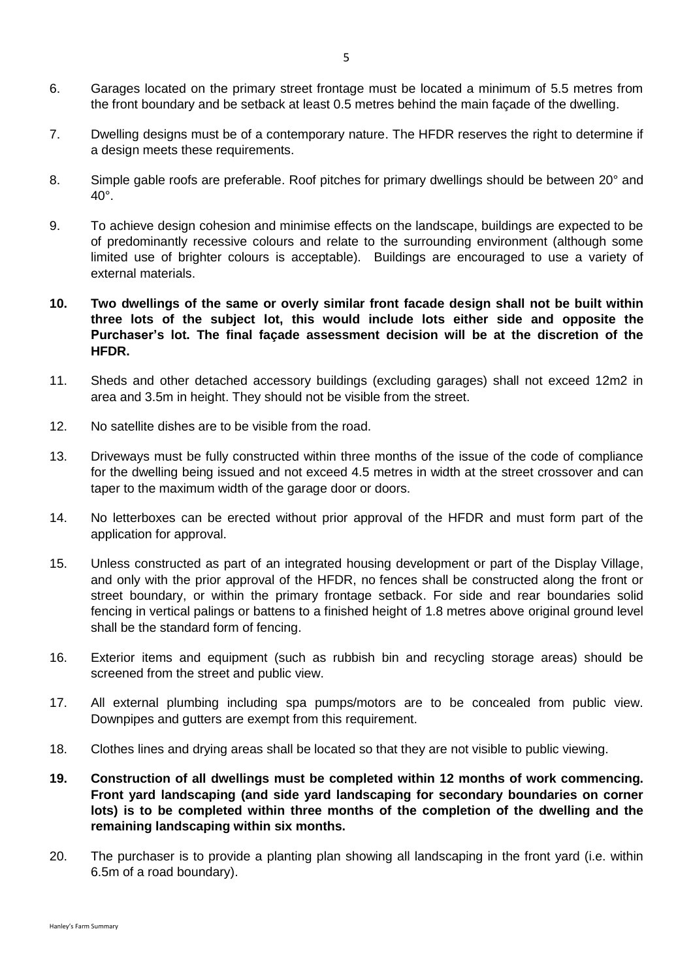- 6. Garages located on the primary street frontage must be located a minimum of 5.5 metres from the front boundary and be setback at least 0.5 metres behind the main façade of the dwelling.
- 7. Dwelling designs must be of a contemporary nature. The HFDR reserves the right to determine if a design meets these requirements.
- 8. Simple gable roofs are preferable. Roof pitches for primary dwellings should be between 20° and 40°.
- 9. To achieve design cohesion and minimise effects on the landscape, buildings are expected to be of predominantly recessive colours and relate to the surrounding environment (although some limited use of brighter colours is acceptable). Buildings are encouraged to use a variety of external materials.
- **10. Two dwellings of the same or overly similar front facade design shall not be built within three lots of the subject lot, this would include lots either side and opposite the Purchaser's lot. The final façade assessment decision will be at the discretion of the HFDR.**
- 11. Sheds and other detached accessory buildings (excluding garages) shall not exceed 12m2 in area and 3.5m in height. They should not be visible from the street.
- 12. No satellite dishes are to be visible from the road.
- 13. Driveways must be fully constructed within three months of the issue of the code of compliance for the dwelling being issued and not exceed 4.5 metres in width at the street crossover and can taper to the maximum width of the garage door or doors.
- 14. No letterboxes can be erected without prior approval of the HFDR and must form part of the application for approval.
- 15. Unless constructed as part of an integrated housing development or part of the Display Village, and only with the prior approval of the HFDR, no fences shall be constructed along the front or street boundary, or within the primary frontage setback. For side and rear boundaries solid fencing in vertical palings or battens to a finished height of 1.8 metres above original ground level shall be the standard form of fencing.
- 16. Exterior items and equipment (such as rubbish bin and recycling storage areas) should be screened from the street and public view.
- 17. All external plumbing including spa pumps/motors are to be concealed from public view. Downpipes and gutters are exempt from this requirement.
- 18. Clothes lines and drying areas shall be located so that they are not visible to public viewing.
- **19. Construction of all dwellings must be completed within 12 months of work commencing. Front yard landscaping (and side yard landscaping for secondary boundaries on corner lots) is to be completed within three months of the completion of the dwelling and the remaining landscaping within six months.**
- 20. The purchaser is to provide a planting plan showing all landscaping in the front yard (i.e. within 6.5m of a road boundary).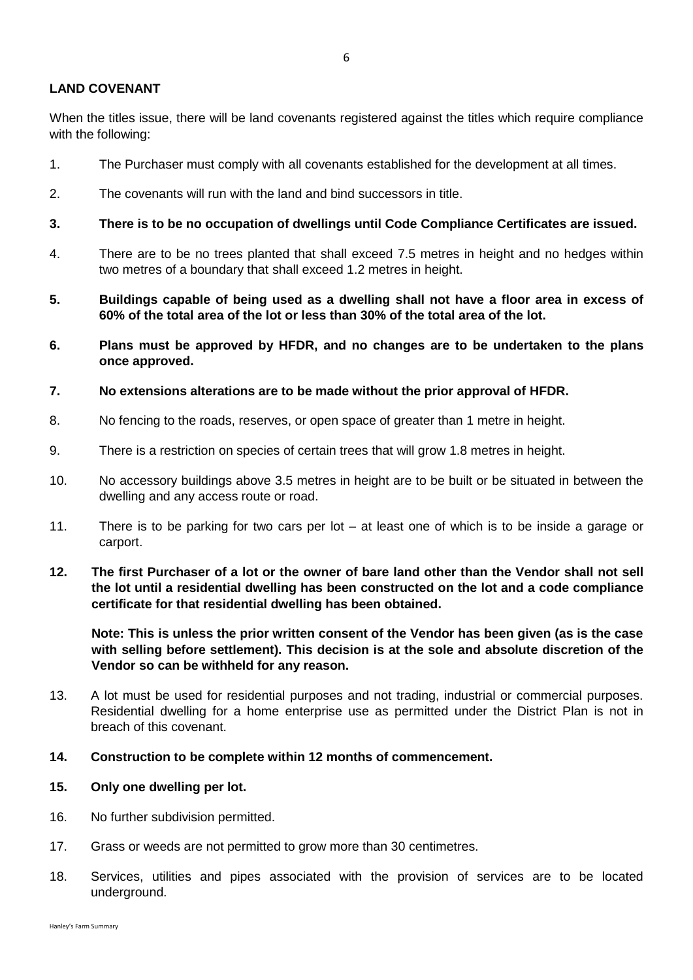# **LAND COVENANT**

When the titles issue, there will be land covenants registered against the titles which require compliance with the following:

- 1. The Purchaser must comply with all covenants established for the development at all times.
- 2. The covenants will run with the land and bind successors in title.
- **3. There is to be no occupation of dwellings until Code Compliance Certificates are issued.**
- 4. There are to be no trees planted that shall exceed 7.5 metres in height and no hedges within two metres of a boundary that shall exceed 1.2 metres in height.
- **5. Buildings capable of being used as a dwelling shall not have a floor area in excess of 60% of the total area of the lot or less than 30% of the total area of the lot.**
- **6. Plans must be approved by HFDR, and no changes are to be undertaken to the plans once approved.**
- **7. No extensions alterations are to be made without the prior approval of HFDR.**
- 8. No fencing to the roads, reserves, or open space of greater than 1 metre in height.
- 9. There is a restriction on species of certain trees that will grow 1.8 metres in height.
- 10. No accessory buildings above 3.5 metres in height are to be built or be situated in between the dwelling and any access route or road.
- 11. There is to be parking for two cars per lot at least one of which is to be inside a garage or carport.
- **12. The first Purchaser of a lot or the owner of bare land other than the Vendor shall not sell the lot until a residential dwelling has been constructed on the lot and a code compliance certificate for that residential dwelling has been obtained.**

**Note: This is unless the prior written consent of the Vendor has been given (as is the case with selling before settlement). This decision is at the sole and absolute discretion of the Vendor so can be withheld for any reason.**

- 13. A lot must be used for residential purposes and not trading, industrial or commercial purposes. Residential dwelling for a home enterprise use as permitted under the District Plan is not in breach of this covenant.
- **14. Construction to be complete within 12 months of commencement.**

### **15. Only one dwelling per lot.**

- 16. No further subdivision permitted.
- 17. Grass or weeds are not permitted to grow more than 30 centimetres.
- 18. Services, utilities and pipes associated with the provision of services are to be located underground.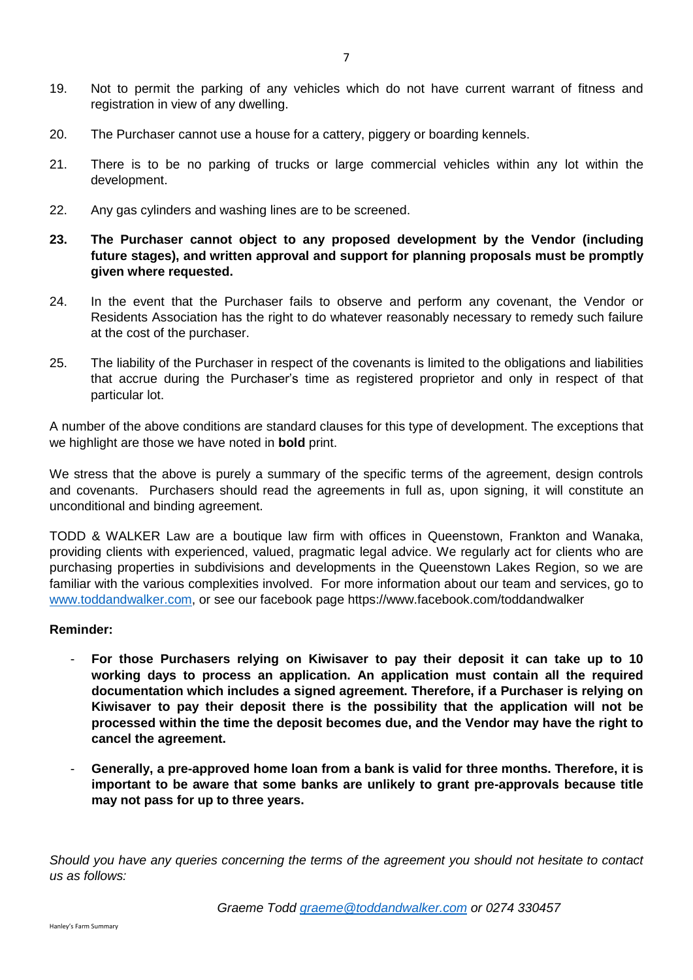- 19. Not to permit the parking of any vehicles which do not have current warrant of fitness and registration in view of any dwelling.
- 20. The Purchaser cannot use a house for a cattery, piggery or boarding kennels.
- 21. There is to be no parking of trucks or large commercial vehicles within any lot within the development.
- 22. Any gas cylinders and washing lines are to be screened.
- **23. The Purchaser cannot object to any proposed development by the Vendor (including future stages), and written approval and support for planning proposals must be promptly given where requested.**
- 24. In the event that the Purchaser fails to observe and perform any covenant, the Vendor or Residents Association has the right to do whatever reasonably necessary to remedy such failure at the cost of the purchaser.
- 25. The liability of the Purchaser in respect of the covenants is limited to the obligations and liabilities that accrue during the Purchaser's time as registered proprietor and only in respect of that particular lot.

A number of the above conditions are standard clauses for this type of development. The exceptions that we highlight are those we have noted in **bold** print.

We stress that the above is purely a summary of the specific terms of the agreement, design controls and covenants. Purchasers should read the agreements in full as, upon signing, it will constitute an unconditional and binding agreement.

TODD & WALKER Law are a boutique law firm with offices in Queenstown, Frankton and Wanaka, providing clients with experienced, valued, pragmatic legal advice. We regularly act for clients who are purchasing properties in subdivisions and developments in the Queenstown Lakes Region, so we are familiar with the various complexities involved. For more information about our team and services, go to [www.toddandwalker.com,](http://www.toddandwalker.com/) or see our facebook page https://www.facebook.com/toddandwalker

### **Reminder:**

- **For those Purchasers relying on Kiwisaver to pay their deposit it can take up to 10 working days to process an application. An application must contain all the required documentation which includes a signed agreement. Therefore, if a Purchaser is relying on Kiwisaver to pay their deposit there is the possibility that the application will not be processed within the time the deposit becomes due, and the Vendor may have the right to cancel the agreement.**
- **Generally, a pre-approved home loan from a bank is valid for three months. Therefore, it is important to be aware that some banks are unlikely to grant pre-approvals because title may not pass for up to three years.**

*Should you have any queries concerning the terms of the agreement you should not hesitate to contact us as follows:*